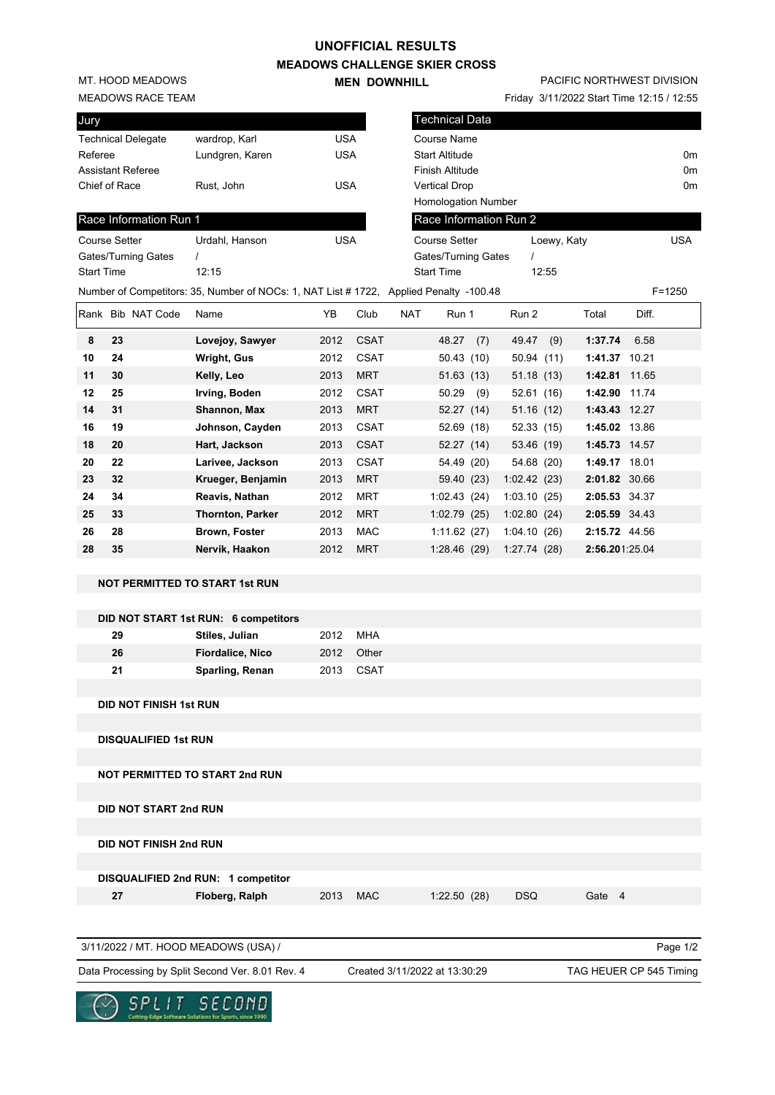### **UNOFFICIAL RESULTS**

**MEADOWS CHALLENGE SKIER CROSS MEN DOWNHILL** 

**20 22 Larivee, Jackson** 2013 CSAT 54.49 (20) 54.68 (20) **1:49.17** 18.01 **23 32 Krueger, Benjamin** 2013 MRT 59.40 (23) 1:02.42 (23) **2:01.82** 30.66 **24 34 Reavis, Nathan** 2012 MRT 1:02.43 (24) 1:03.10 (25) **2:05.53** 34.37 **25 33 Thornton, Parker** 2012 MRT 1:02.79 (25) 1:02.80 (24) **2:05.59** 34.43 **26 28 Brown, Foster** 2013 MAC 1:11.62 (27) 1:04.10 (26) **2:15.72** 44.56 **28 35 Nervik, Haakon** 2012 MRT 1:28.46 (29) 1:27.74 (28) **2:56.20**1:25.04

MT. HOOD MEADOWS

#### MEADOWS RACE TEAM

| Jury                      |                 |     |
|---------------------------|-----------------|-----|
| <b>Technical Delegate</b> | wardrop, Karl   | USA |
| Referee                   | Lundgren, Karen | USA |
| <b>Assistant Referee</b>  |                 |     |
| Chief of Race             | Rust, John      | USA |
|                           |                 |     |

## Race Information Run 1

| <b>Course Setter</b> | Urdahl, Hanson                                            | USA |
|----------------------|-----------------------------------------------------------|-----|
| Gates/Turning Gates  |                                                           |     |
| <b>Start Time</b>    | 12.15                                                     |     |
|                      | Number of Competitors: 35, Number of NOCs: 1, NAT List #1 |     |

# PACIFIC NORTHWEST DIVISION

Friday 3/11/2022 Start Time 12:15 / 12:55

|                                 | ווהחם ונחטו טוויטער      |                                                                                        |                            |                     |            |                            |            |             | $110a$ $y$ $112022$ orall $11116$ $12.107$ $12.00$ |       |                |
|---------------------------------|--------------------------|----------------------------------------------------------------------------------------|----------------------------|---------------------|------------|----------------------------|------------|-------------|----------------------------------------------------|-------|----------------|
| lury                            |                          |                                                                                        |                            |                     |            | <b>Technical Data</b>      |            |             |                                                    |       |                |
|                                 | echnical Delegate        | wardrop, Karl                                                                          | <b>USA</b>                 |                     |            | Course Name                |            |             |                                                    |       |                |
| रेeferee                        |                          | Lundgren, Karen                                                                        | <b>USA</b>                 |                     |            | <b>Start Altitude</b>      |            |             |                                                    |       | 0 <sub>m</sub> |
|                                 | <b>\ssistant Referee</b> |                                                                                        |                            |                     |            | Finish Altitude            |            |             |                                                    |       | 0 <sub>m</sub> |
|                                 | hief of Race             | Rust. John                                                                             | <b>USA</b>                 |                     |            | <b>Vertical Drop</b>       |            |             |                                                    |       | 0 <sub>m</sub> |
|                                 |                          |                                                                                        |                            |                     |            | <b>Homologation Number</b> |            |             |                                                    |       |                |
|                                 | Race Information Run 1   |                                                                                        |                            |                     |            | Race Information Run 2     |            |             |                                                    |       |                |
| Course Setter<br>Urdahl, Hanson |                          |                                                                                        |                            | <b>USA</b>          |            | <b>Course Setter</b>       |            | Loewy, Katy |                                                    |       | <b>USA</b>     |
| Gates/Turning Gates             |                          |                                                                                        |                            | Gates/Turning Gates |            |                            |            |             |                                                    |       |                |
| }tart Time<br>12:15             |                          |                                                                                        | 12:55<br><b>Start Time</b> |                     |            |                            |            |             |                                                    |       |                |
|                                 |                          | Jumber of Competitors: 35, Number of NOCs: 1, NAT List # 1722, Applied Penalty -100.48 |                            |                     |            |                            |            |             |                                                    |       | $F = 1250$     |
|                                 | Rank Bib NAT Code        | Name                                                                                   | YB                         | Club                | <b>NAT</b> | Run 1                      | Run 2      |             | Total                                              | Diff. |                |
| 8                               | 23                       | Lovejoy, Sawyer                                                                        | 2012                       | <b>CSAT</b>         |            | 48.27<br>(7)               | 49.47      | (9)         | 1:37.74                                            | 6.58  |                |
| 10                              | 24                       | Wright, Gus                                                                            | 2012                       | <b>CSAT</b>         |            | 50.43(10)                  | 50.94(11)  |             | 1:41.37 10.21                                      |       |                |
| 11                              | 30                       | Kelly, Leo                                                                             | 2013                       | <b>MRT</b>          |            | 51.63(13)                  | 51.18(13)  |             | 1:42.81                                            | 11.65 |                |
| 12                              | 25                       | Irving, Boden                                                                          | 2012                       | <b>CSAT</b>         |            | 50.29<br>(9)               | 52.61(16)  |             | 1:42.90                                            | 11.74 |                |
| 14                              | 31                       | Shannon, Max                                                                           | 2013                       | <b>MRT</b>          |            | 52.27(14)                  | 51.16(12)  |             | 1:43.43 12.27                                      |       |                |
| 16                              | 19                       | Johnson, Cayden                                                                        | 2013                       | <b>CSAT</b>         |            | 52.69 (18)                 | 52.33 (15) |             | 1:45.02 13.86                                      |       |                |
| 18                              | 20                       | Hart, Jackson                                                                          | 2013                       | <b>CSAT</b>         |            | 52.27 (14)                 | 53.46 (19) |             | 1:45.73 14.57                                      |       |                |

# **DID NOT START 1st RUN: 6 competitors**

**NOT PERMITTED TO START 1st RUN**

| 29 | Stiles, Julian          | 2012 | MHA        |
|----|-------------------------|------|------------|
| 26 | <b>Fiordalice, Nico</b> |      | 2012 Other |
| 21 | Sparling, Renan         |      | 2013 CSAT  |

**DID NOT FINISH 1st RUN**

**DISQUALIFIED 1st RUN**

**NOT PERMITTED TO START 2nd RUN**

**DID NOT START 2nd RUN**

**DID NOT FINISH 2nd RUN**

**DISQUALIFIED 2nd RUN: 1 competitor**

 **27 Floberg, Ralph** 2013 MAC 1:22.50 (28) DSQ Gate 4

Page 1/2

Data Processing by Split Second Ver. 8.01 Rev. 4 Created 3/11/2022 at 13:30:29 TAG HEUER CP 545 Timing

Created 3/11/2022 at 13:30:29



3/11/2022 / MT. HOOD MEADOWS (USA) /